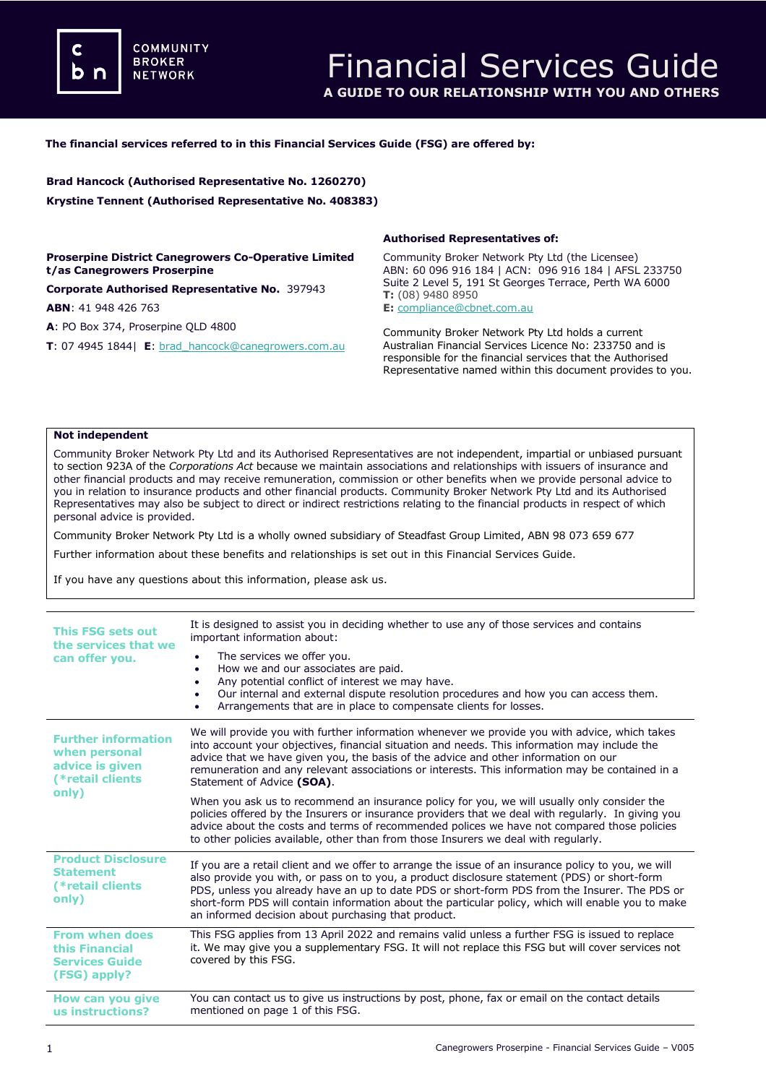**COMMUNITY BROKER NETWORK** 

## **The financial services referred to in this Financial Services Guide (FSG) are offered by:**

**Brad Hancock (Authorised Representative No. 1260270) Krystine Tennent (Authorised Representative No. 408383)**

## **Proserpine District Canegrowers Co-Operative Limited t/as Canegrowers Proserpine**

**Corporate Authorised Representative No.** 397943 **ABN**: 41 948 426 763

**A**: PO Box 374, Proserpine QLD 4800

**T**: 07 4945 1844| **E**[: brad\\_hancock@canegrowers.com.au](mailto:brad_hancock@canegrowers.com.au)

### **Authorised Representatives of:**

Community Broker Network Pty Ltd (the Licensee) ABN: 60 096 916 184 | ACN: 096 916 184 | AFSL 233750 Suite 2 Level 5, 191 St Georges Terrace, Perth WA 6000 **T:** (08) 9480 8950

**E:** [compliance@cbnet.com.au](mailto:queries@naswg.com.au) 

Community Broker Network Pty Ltd holds a current Australian Financial Services Licence No: 233750 and is responsible for the financial services that the Authorised Representative named within this document provides to you.

### **Not independent**

Community Broker Network Pty Ltd and its Authorised Representatives are not independent, impartial or unbiased pursuant to section 923A of the *Corporations Act* because we maintain associations and relationships with issuers of insurance and other financial products and may receive remuneration, commission or other benefits when we provide personal advice to you in relation to insurance products and other financial products. Community Broker Network Pty Ltd and its Authorised Representatives may also be subject to direct or indirect restrictions relating to the financial products in respect of which personal advice is provided.

Community Broker Network Pty Ltd is a wholly owned subsidiary of Steadfast Group Limited, ABN 98 073 659 677

Further information about these benefits and relationships is set out in this Financial Services Guide.

If you have any questions about this information, please ask us.

| This FSG sets out<br>the services that we<br>can offer you.                                 | It is designed to assist you in deciding whether to use any of those services and contains<br>important information about:<br>The services we offer you.<br>How we and our associates are paid.<br>$\bullet$<br>Any potential conflict of interest we may have.<br>٠<br>Our internal and external dispute resolution procedures and how you can access them.<br>$\bullet$<br>Arrangements that are in place to compensate clients for losses.<br>٠                |
|---------------------------------------------------------------------------------------------|-------------------------------------------------------------------------------------------------------------------------------------------------------------------------------------------------------------------------------------------------------------------------------------------------------------------------------------------------------------------------------------------------------------------------------------------------------------------|
| <b>Further information</b><br>when personal<br>advice is given<br>(*retail clients<br>only) | We will provide you with further information whenever we provide you with advice, which takes<br>into account your objectives, financial situation and needs. This information may include the<br>advice that we have given you, the basis of the advice and other information on our<br>remuneration and any relevant associations or interests. This information may be contained in a<br>Statement of Advice (SOA).                                            |
|                                                                                             | When you ask us to recommend an insurance policy for you, we will usually only consider the<br>policies offered by the Insurers or insurance providers that we deal with regularly. In giving you<br>advice about the costs and terms of recommended polices we have not compared those policies<br>to other policies available, other than from those Insurers we deal with regularly.                                                                           |
| <b>Product Disclosure</b><br><b>Statement</b><br>(*retail clients)<br>only)                 | If you are a retail client and we offer to arrange the issue of an insurance policy to you, we will<br>also provide you with, or pass on to you, a product disclosure statement (PDS) or short-form<br>PDS, unless you already have an up to date PDS or short-form PDS from the Insurer. The PDS or<br>short-form PDS will contain information about the particular policy, which will enable you to make<br>an informed decision about purchasing that product. |
| <b>From when does</b><br>this Financial<br><b>Services Guide</b><br>(FSG) apply?            | This FSG applies from 13 April 2022 and remains valid unless a further FSG is issued to replace<br>it. We may give you a supplementary FSG. It will not replace this FSG but will cover services not<br>covered by this FSG.                                                                                                                                                                                                                                      |
| How can you give<br>us instructions?                                                        | You can contact us to give us instructions by post, phone, fax or email on the contact details<br>mentioned on page 1 of this FSG.                                                                                                                                                                                                                                                                                                                                |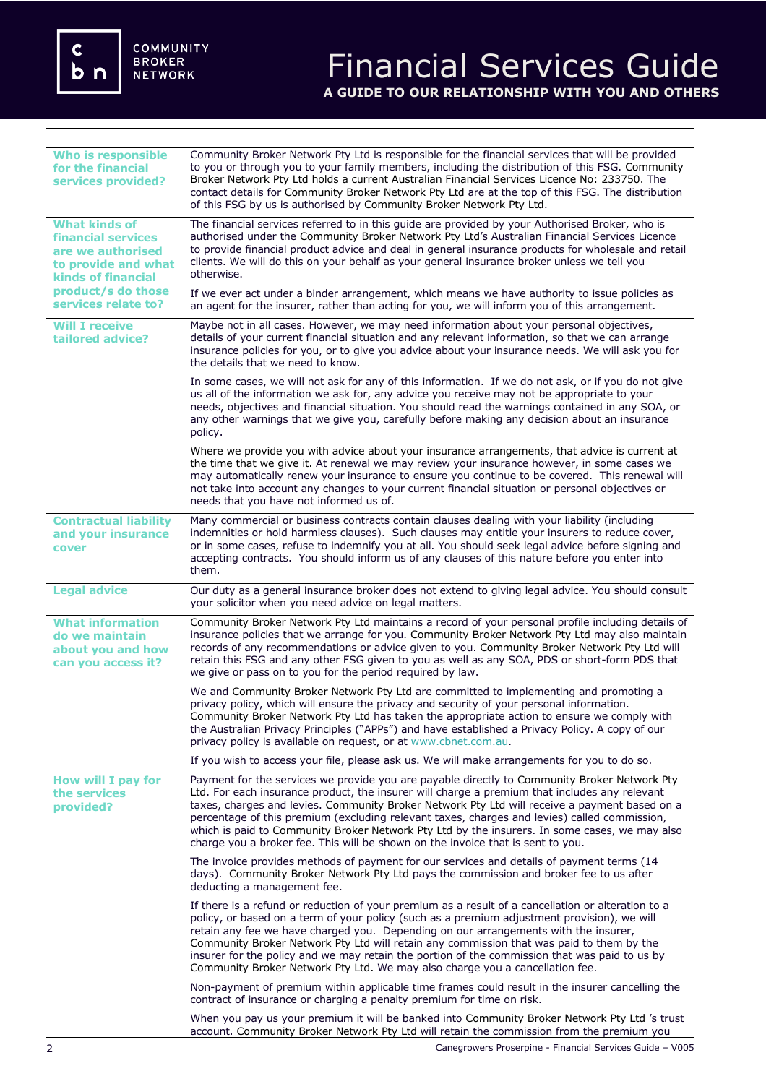c<br>b n

# Financial Services Guide **A GUIDE TO OUR RELATIONSHIP WITH YOU AND OTHERS**

| <b>Who is responsible</b><br>for the financial<br>services provided?                                                                                                    | Community Broker Network Pty Ltd is responsible for the financial services that will be provided<br>to you or through you to your family members, including the distribution of this FSG. Community<br>Broker Network Pty Ltd holds a current Australian Financial Services Licence No: 233750. The<br>contact details for Community Broker Network Pty Ltd are at the top of this FSG. The distribution<br>of this FSG by us is authorised by Community Broker Network Pty Ltd.                                                                                                   |
|-------------------------------------------------------------------------------------------------------------------------------------------------------------------------|------------------------------------------------------------------------------------------------------------------------------------------------------------------------------------------------------------------------------------------------------------------------------------------------------------------------------------------------------------------------------------------------------------------------------------------------------------------------------------------------------------------------------------------------------------------------------------|
| <b>What kinds of</b><br><b>financial services</b><br>are we authorised<br>to provide and what<br><b>kinds of financial</b><br>product/s do those<br>services relate to? | The financial services referred to in this guide are provided by your Authorised Broker, who is<br>authorised under the Community Broker Network Pty Ltd's Australian Financial Services Licence<br>to provide financial product advice and deal in general insurance products for wholesale and retail<br>clients. We will do this on your behalf as your general insurance broker unless we tell you<br>otherwise.                                                                                                                                                               |
|                                                                                                                                                                         | If we ever act under a binder arrangement, which means we have authority to issue policies as<br>an agent for the insurer, rather than acting for you, we will inform you of this arrangement.                                                                                                                                                                                                                                                                                                                                                                                     |
| <b>Will I receive</b><br>tailored advice?                                                                                                                               | Maybe not in all cases. However, we may need information about your personal objectives,<br>details of your current financial situation and any relevant information, so that we can arrange<br>insurance policies for you, or to give you advice about your insurance needs. We will ask you for<br>the details that we need to know.                                                                                                                                                                                                                                             |
|                                                                                                                                                                         | In some cases, we will not ask for any of this information. If we do not ask, or if you do not give<br>us all of the information we ask for, any advice you receive may not be appropriate to your<br>needs, objectives and financial situation. You should read the warnings contained in any SOA, or<br>any other warnings that we give you, carefully before making any decision about an insurance<br>policy.                                                                                                                                                                  |
|                                                                                                                                                                         | Where we provide you with advice about your insurance arrangements, that advice is current at<br>the time that we give it. At renewal we may review your insurance however, in some cases we<br>may automatically renew your insurance to ensure you continue to be covered. This renewal will<br>not take into account any changes to your current financial situation or personal objectives or<br>needs that you have not informed us of.                                                                                                                                       |
| <b>Contractual liability</b><br>and your insurance<br>cover                                                                                                             | Many commercial or business contracts contain clauses dealing with your liability (including<br>indemnities or hold harmless clauses). Such clauses may entitle your insurers to reduce cover,<br>or in some cases, refuse to indemnify you at all. You should seek legal advice before signing and<br>accepting contracts. You should inform us of any clauses of this nature before you enter into<br>them.                                                                                                                                                                      |
| <b>Legal advice</b>                                                                                                                                                     | Our duty as a general insurance broker does not extend to giving legal advice. You should consult<br>your solicitor when you need advice on legal matters.                                                                                                                                                                                                                                                                                                                                                                                                                         |
| <b>What information</b><br>do we maintain<br>about you and how<br>can you access it?                                                                                    | Community Broker Network Pty Ltd maintains a record of your personal profile including details of<br>insurance policies that we arrange for you. Community Broker Network Pty Ltd may also maintain<br>records of any recommendations or advice given to you. Community Broker Network Pty Ltd will<br>retain this FSG and any other FSG given to you as well as any SOA, PDS or short-form PDS that<br>we give or pass on to you for the period required by law.                                                                                                                  |
|                                                                                                                                                                         | We and Community Broker Network Pty Ltd are committed to implementing and promoting a<br>privacy policy, which will ensure the privacy and security of your personal information.<br>Community Broker Network Pty Ltd has taken the appropriate action to ensure we comply with<br>the Australian Privacy Principles ("APPs") and have established a Privacy Policy. A copy of our<br>privacy policy is available on request, or at www.cbnet.com.au.                                                                                                                              |
|                                                                                                                                                                         | If you wish to access your file, please ask us. We will make arrangements for you to do so.                                                                                                                                                                                                                                                                                                                                                                                                                                                                                        |
| How will I pay for<br>the services<br>provided?                                                                                                                         | Payment for the services we provide you are payable directly to Community Broker Network Pty<br>Ltd. For each insurance product, the insurer will charge a premium that includes any relevant<br>taxes, charges and levies. Community Broker Network Pty Ltd will receive a payment based on a<br>percentage of this premium (excluding relevant taxes, charges and levies) called commission,<br>which is paid to Community Broker Network Pty Ltd by the insurers. In some cases, we may also<br>charge you a broker fee. This will be shown on the invoice that is sent to you. |
|                                                                                                                                                                         | The invoice provides methods of payment for our services and details of payment terms (14<br>days). Community Broker Network Pty Ltd pays the commission and broker fee to us after<br>deducting a management fee.                                                                                                                                                                                                                                                                                                                                                                 |
|                                                                                                                                                                         | If there is a refund or reduction of your premium as a result of a cancellation or alteration to a<br>policy, or based on a term of your policy (such as a premium adjustment provision), we will<br>retain any fee we have charged you. Depending on our arrangements with the insurer,<br>Community Broker Network Pty Ltd will retain any commission that was paid to them by the<br>insurer for the policy and we may retain the portion of the commission that was paid to us by<br>Community Broker Network Pty Ltd. We may also charge you a cancellation fee.              |
|                                                                                                                                                                         | Non-payment of premium within applicable time frames could result in the insurer cancelling the<br>contract of insurance or charging a penalty premium for time on risk.                                                                                                                                                                                                                                                                                                                                                                                                           |
|                                                                                                                                                                         | When you pay us your premium it will be banked into Community Broker Network Pty Ltd 's trust<br>account. Community Broker Network Pty Ltd will retain the commission from the premium you                                                                                                                                                                                                                                                                                                                                                                                         |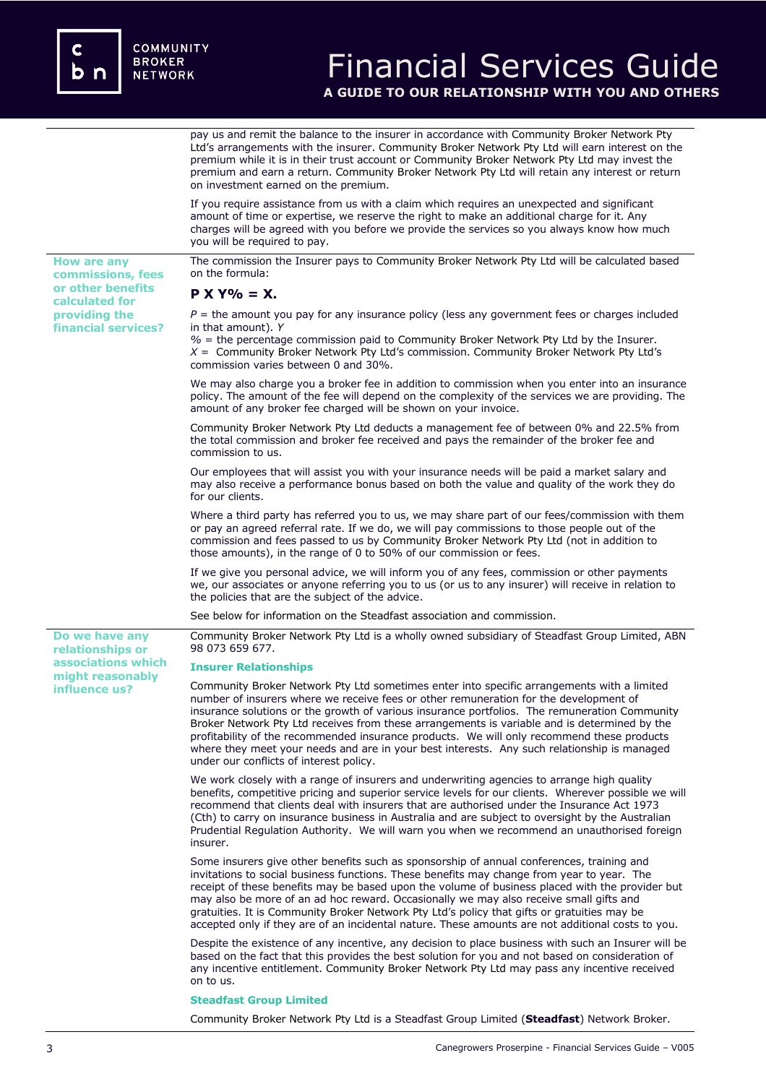**or other benefits calculated for providing the financial services?**

**Do we have any relationships or associations which might reasonably influence us?** 

## Financial Services Guide **A GUIDE TO OUR RELATIONSHIP WITH YOU AND OTHERS**

pay us and remit the balance to the insurer in accordance with Community Broker Network Pty Ltd's arrangements with the insurer. Community Broker Network Pty Ltd will earn interest on the premium while it is in their trust account or Community Broker Network Pty Ltd may invest the premium and earn a return. Community Broker Network Pty Ltd will retain any interest or return on investment earned on the premium.

If you require assistance from us with a claim which requires an unexpected and significant amount of time or expertise, we reserve the right to make an additional charge for it. Any charges will be agreed with you before we provide the services so you always know how much you will be required to pay.

**How are any commissions, fees**  The commission the Insurer pays to Community Broker Network Pty Ltd will be calculated based on the formula:

## **P X Y% = X.**

 $P =$  the amount you pay for any insurance policy (less any government fees or charges included in that amount). *Y*

*%* = the percentage commission paid to Community Broker Network Pty Ltd by the Insurer. *X* = Community Broker Network Pty Ltd's commission. Community Broker Network Pty Ltd's commission varies between 0 and 30%.

We may also charge you a broker fee in addition to commission when you enter into an insurance policy. The amount of the fee will depend on the complexity of the services we are providing. The amount of any broker fee charged will be shown on your invoice.

Community Broker Network Pty Ltd deducts a management fee of between 0% and 22.5% from the total commission and broker fee received and pays the remainder of the broker fee and commission to us.

Our employees that will assist you with your insurance needs will be paid a market salary and may also receive a performance bonus based on both the value and quality of the work they do for our clients.

Where a third party has referred you to us, we may share part of our fees/commission with them or pay an agreed referral rate. If we do, we will pay commissions to those people out of the commission and fees passed to us by Community Broker Network Pty Ltd (not in addition to those amounts), in the range of 0 to 50% of our commission or fees.

If we give you personal advice, we will inform you of any fees, commission or other payments we, our associates or anyone referring you to us (or us to any insurer) will receive in relation to the policies that are the subject of the advice.

See below for information on the Steadfast association and commission.

Community Broker Network Pty Ltd is a wholly owned subsidiary of Steadfast Group Limited, ABN 98 073 659 677.

### **Insurer Relationships**

Community Broker Network Pty Ltd sometimes enter into specific arrangements with a limited number of insurers where we receive fees or other remuneration for the development of insurance solutions or the growth of various insurance portfolios. The remuneration Community Broker Network Pty Ltd receives from these arrangements is variable and is determined by the profitability of the recommended insurance products. We will only recommend these products where they meet your needs and are in your best interests. Any such relationship is managed under our conflicts of interest policy.

We work closely with a range of insurers and underwriting agencies to arrange high quality benefits, competitive pricing and superior service levels for our clients. Wherever possible we will recommend that clients deal with insurers that are authorised under the Insurance Act 1973 (Cth) to carry on insurance business in Australia and are subject to oversight by the Australian Prudential Regulation Authority. We will warn you when we recommend an unauthorised foreign insurer.

Some insurers give other benefits such as sponsorship of annual conferences, training and invitations to social business functions. These benefits may change from year to year. The receipt of these benefits may be based upon the volume of business placed with the provider but may also be more of an ad hoc reward. Occasionally we may also receive small gifts and gratuities. It is Community Broker Network Pty Ltd's policy that gifts or gratuities may be accepted only if they are of an incidental nature. These amounts are not additional costs to you.

Despite the existence of any incentive, any decision to place business with such an Insurer will be based on the fact that this provides the best solution for you and not based on consideration of any incentive entitlement. Community Broker Network Pty Ltd may pass any incentive received on to us.

### **Steadfast Group Limited**

Community Broker Network Pty Ltd is a Steadfast Group Limited (**Steadfast**) Network Broker.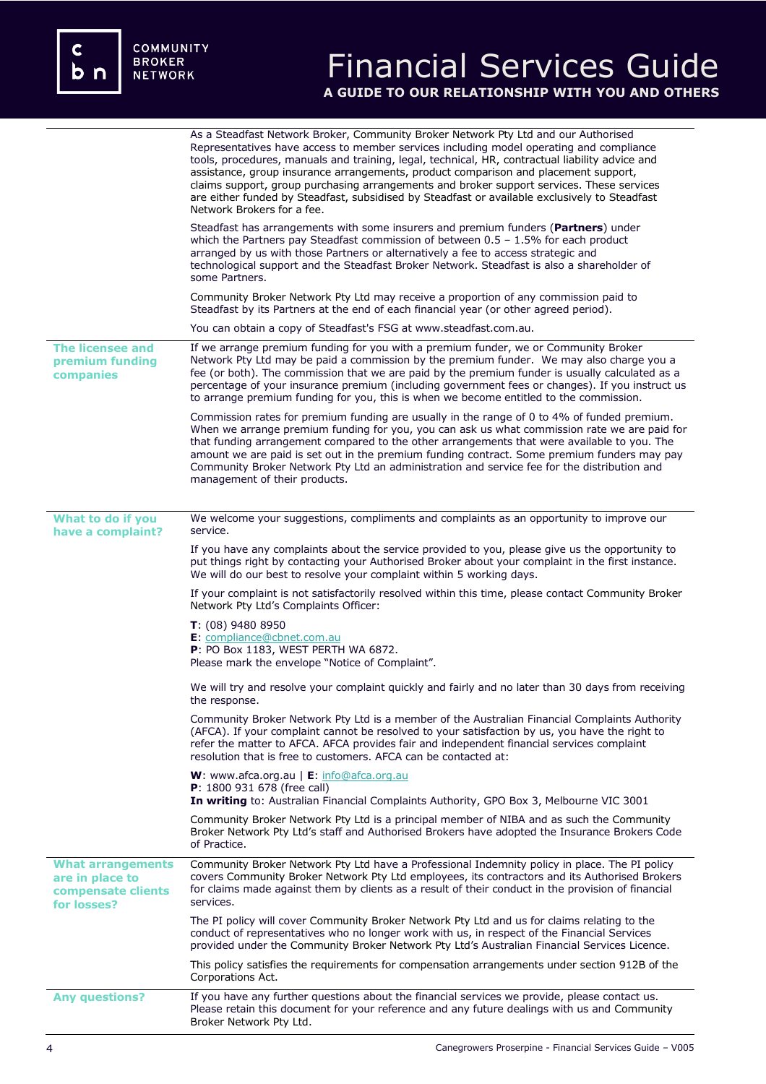c<br>b n

# Financial Services Guide **A GUIDE TO OUR RELATIONSHIP WITH YOU AND OTHERS**

|                                                                                  | As a Steadfast Network Broker, Community Broker Network Pty Ltd and our Authorised<br>Representatives have access to member services including model operating and compliance<br>tools, procedures, manuals and training, legal, technical, HR, contractual liability advice and<br>assistance, group insurance arrangements, product comparison and placement support,<br>claims support, group purchasing arrangements and broker support services. These services<br>are either funded by Steadfast, subsidised by Steadfast or available exclusively to Steadfast<br>Network Brokers for a fee. |
|----------------------------------------------------------------------------------|-----------------------------------------------------------------------------------------------------------------------------------------------------------------------------------------------------------------------------------------------------------------------------------------------------------------------------------------------------------------------------------------------------------------------------------------------------------------------------------------------------------------------------------------------------------------------------------------------------|
|                                                                                  | Steadfast has arrangements with some insurers and premium funders ( <b>Partners</b> ) under<br>which the Partners pay Steadfast commission of between $0.5 - 1.5\%$ for each product<br>arranged by us with those Partners or alternatively a fee to access strategic and<br>technological support and the Steadfast Broker Network. Steadfast is also a shareholder of<br>some Partners.                                                                                                                                                                                                           |
|                                                                                  | Community Broker Network Pty Ltd may receive a proportion of any commission paid to<br>Steadfast by its Partners at the end of each financial year (or other agreed period).                                                                                                                                                                                                                                                                                                                                                                                                                        |
|                                                                                  | You can obtain a copy of Steadfast's FSG at www.steadfast.com.au.                                                                                                                                                                                                                                                                                                                                                                                                                                                                                                                                   |
| <b>The licensee and</b><br>premium funding<br>companies                          | If we arrange premium funding for you with a premium funder, we or Community Broker<br>Network Pty Ltd may be paid a commission by the premium funder. We may also charge you a<br>fee (or both). The commission that we are paid by the premium funder is usually calculated as a<br>percentage of your insurance premium (including government fees or changes). If you instruct us<br>to arrange premium funding for you, this is when we become entitled to the commission.                                                                                                                     |
|                                                                                  | Commission rates for premium funding are usually in the range of 0 to 4% of funded premium.<br>When we arrange premium funding for you, you can ask us what commission rate we are paid for<br>that funding arrangement compared to the other arrangements that were available to you. The<br>amount we are paid is set out in the premium funding contract. Some premium funders may pay<br>Community Broker Network Pty Ltd an administration and service fee for the distribution and<br>management of their products.                                                                           |
| What to do if you                                                                | We welcome your suggestions, compliments and complaints as an opportunity to improve our                                                                                                                                                                                                                                                                                                                                                                                                                                                                                                            |
| have a complaint?                                                                | service.                                                                                                                                                                                                                                                                                                                                                                                                                                                                                                                                                                                            |
|                                                                                  | If you have any complaints about the service provided to you, please give us the opportunity to<br>put things right by contacting your Authorised Broker about your complaint in the first instance.<br>We will do our best to resolve your complaint within 5 working days.                                                                                                                                                                                                                                                                                                                        |
|                                                                                  | If your complaint is not satisfactorily resolved within this time, please contact Community Broker<br>Network Pty Ltd's Complaints Officer:                                                                                                                                                                                                                                                                                                                                                                                                                                                         |
|                                                                                  | $T: (08)$ 9480 8950<br>E: compliance@cbnet.com.au<br>P: PO Box 1183, WEST PERTH WA 6872.<br>Please mark the envelope "Notice of Complaint".                                                                                                                                                                                                                                                                                                                                                                                                                                                         |
|                                                                                  | We will try and resolve your complaint quickly and fairly and no later than 30 days from receiving<br>the response.                                                                                                                                                                                                                                                                                                                                                                                                                                                                                 |
|                                                                                  | Community Broker Network Pty Ltd is a member of the Australian Financial Complaints Authority<br>(AFCA). If your complaint cannot be resolved to your satisfaction by us, you have the right to<br>refer the matter to AFCA. AFCA provides fair and independent financial services complaint<br>resolution that is free to customers. AFCA can be contacted at:                                                                                                                                                                                                                                     |
|                                                                                  | <b>W</b> : www.afca.org.au $\mathsf{E}$ : info@afca.org.au<br>P: 1800 931 678 (free call)<br>In writing to: Australian Financial Complaints Authority, GPO Box 3, Melbourne VIC 3001                                                                                                                                                                                                                                                                                                                                                                                                                |
|                                                                                  | Community Broker Network Pty Ltd is a principal member of NIBA and as such the Community<br>Broker Network Pty Ltd's staff and Authorised Brokers have adopted the Insurance Brokers Code<br>of Practice.                                                                                                                                                                                                                                                                                                                                                                                           |
| <b>What arrangements</b><br>are in place to<br>compensate clients<br>for losses? | Community Broker Network Pty Ltd have a Professional Indemnity policy in place. The PI policy<br>covers Community Broker Network Pty Ltd employees, its contractors and its Authorised Brokers<br>for claims made against them by clients as a result of their conduct in the provision of financial<br>services.                                                                                                                                                                                                                                                                                   |
|                                                                                  | The PI policy will cover Community Broker Network Pty Ltd and us for claims relating to the<br>conduct of representatives who no longer work with us, in respect of the Financial Services<br>provided under the Community Broker Network Pty Ltd's Australian Financial Services Licence.                                                                                                                                                                                                                                                                                                          |
|                                                                                  | This policy satisfies the requirements for compensation arrangements under section 912B of the<br>Corporations Act.                                                                                                                                                                                                                                                                                                                                                                                                                                                                                 |
| <b>Any questions?</b>                                                            | If you have any further questions about the financial services we provide, please contact us.<br>Please retain this document for your reference and any future dealings with us and Community<br>Broker Network Pty Ltd.                                                                                                                                                                                                                                                                                                                                                                            |